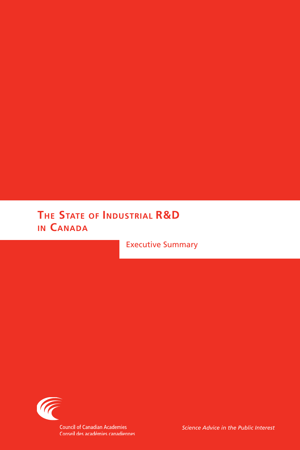# **The State of Industrial R&D in Canada**

Executive Summary



*Science Advice in the Public Interest*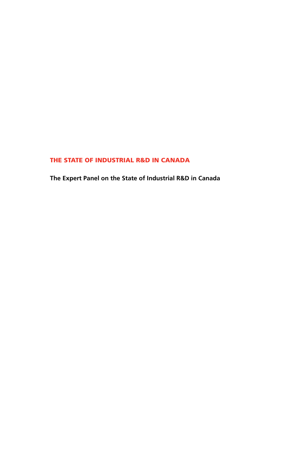# THE STATE OF INDUSTRIAL R&D IN CANADA

**The Expert Panel on the State of Industrial R&D in Canada**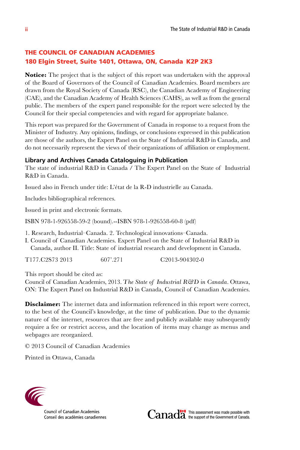# THE COUNCIL OF CANADIAN ACADEMIES 180 Elgin Street, Suite 1401, Ottawa, ON, Canada K2P 2K3

**Notice:** The project that is the subject of this report was undertaken with the approval of the Board of Governors of the Council of Canadian Academies. Board members are drawn from the Royal Society of Canada (RSC), the Canadian Academy of Engineering (CAE), and the Canadian Academy of Health Sciences (CAHS), as well as from the general public. The members of the expert panel responsible for the report were selected by the Council for their special competencies and with regard for appropriate balance.

This report was prepared for the Government of Canada in response to a request from the Minister of Industry. Any opinions, findings, or conclusions expressed in this publication are those of the authors, the Expert Panel on the State of Industrial R&D in Canada, and do not necessarily represent the views of their organizations of affiliation or employment.

#### **Library and Archives Canada Cataloguing in Publication**

The state of industrial R&D in Canada / The Expert Panel on the State of Industrial R&D in Canada.

Issued also in French under title: L'état de la R-D industrielle au Canada.

Includes bibliographical references.

Issued in print and electronic formats.

ISBN 978-1-926558-59-2 (bound).--ISBN 978-1-926558-60-8 (pdf)

- 1. Research, Industrial–Canada. 2. Technological innovations–Canada.
- I. Council of Canadian Academies. Expert Panel on the State of Industrial R&D in Canada, author II. Title: State of industrial research and development in Canada.

T177.C2S73 2013 607'.271 C2013-904302-0

This report should be cited as:

Council of Canadian Academies, 2013. *The State of Industrial R&D in Canada*. Ottawa, ON: The Expert Panel on Industrial R&D in Canada, Council of Canadian Academies.

**Disclaimer:** The internet data and information referenced in this report were correct, to the best of the Council's knowledge, at the time of publication. Due to the dynamic nature of the internet, resources that are free and publicly available may subsequently require a fee or restrict access, and the location of items may change as menus and webpages are reorganized.

© 2013 Council of Canadian Academies

Printed in Ottawa, Canada



**Council of Canadian Academies** Conseil des académies canadiennes



This assessment was made possible with the support of the Government of Canada.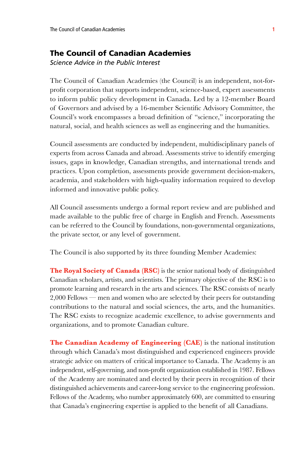# The Council of Canadian Academies

*Science Advice in the Public Interest*

The Council of Canadian Academies (the Council) is an independent, not-forprofit corporation that supports independent, science-based, expert assessments to inform public policy development in Canada. Led by a 12-member Board of Governors and advised by a 16-member Scientific Advisory Committee, the Council's work encompasses a broad definition of "science," incorporating the natural, social, and health sciences as well as engineering and the humanities.

Council assessments are conducted by independent, multidisciplinary panels of experts from across Canada and abroad. Assessments strive to identify emerging issues, gaps in knowledge, Canadian strengths, and international trends and practices. Upon completion, assessments provide government decision-makers, academia, and stakeholders with high-quality information required to develop informed and innovative public policy.

All Council assessments undergo a formal report review and are published and made available to the public free of charge in English and French. Assessments can be referred to the Council by foundations, non-governmental organizations, the private sector, or any level of government.

The Council is also supported by its three founding Member Academies:

**The Royal Society of Canada (RSC)** is the senior national body of distinguished Canadian scholars, artists, and scientists. The primary objective of the RSC is to promote learning and research in the arts and sciences. The RSC consists of nearly 2,000 Fellows — men and women who are selected by their peers for outstanding contributions to the natural and social sciences, the arts, and the humanities. The RSC exists to recognize academic excellence, to advise governments and organizations, and to promote Canadian culture.

**The Canadian Academy of Engineering (CAE)** is the national institution through which Canada's most distinguished and experienced engineers provide strategic advice on matters of critical importance to Canada. The Academy is an independent, self-governing, and non-profit organization established in 1987. Fellows of the Academy are nominated and elected by their peers in recognition of their distinguished achievements and career-long service to the engineering profession. Fellows of the Academy, who number approximately 600, are committed to ensuring that Canada's engineering expertise is applied to the benefit of all Canadians.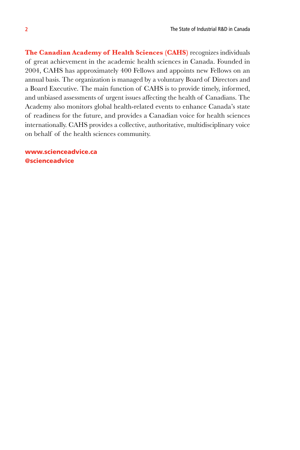**The Canadian Academy of Health Sciences (CAHS)** recognizes individuals of great achievement in the academic health sciences in Canada. Founded in 2004, CAHS has approximately 400 Fellows and appoints new Fellows on an annual basis. The organization is managed by a voluntary Board of Directors and a Board Executive. The main function of CAHS is to provide timely, informed, and unbiased assessments of urgent issues affecting the health of Canadians. The Academy also monitors global health-related events to enhance Canada's state of readiness for the future, and provides a Canadian voice for health sciences internationally. CAHS provides a collective, authoritative, multidisciplinary voice on behalf of the health sciences community.

www.scienceadvice.ca @scienceadvice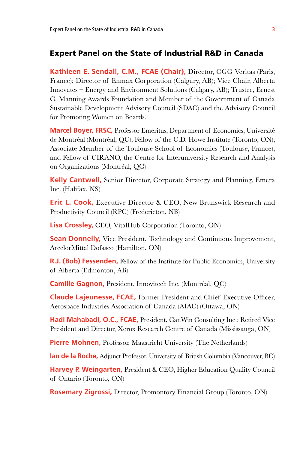#### Expert Panel on the State of Industrial R&D in Canada

**Kathleen E. Sendall, C.M., FCAE (Chair),** Director, CGG Veritas (Paris, France); Director of Enmax Corporation (Calgary, AB); Vice Chair, Alberta Innovates – Energy and Environment Solutions (Calgary, AB); Trustee, Ernest C. Manning Awards Foundation and Member of the Government of Canada Sustainable Development Advisory Council (SDAC) and the Advisory Council for Promoting Women on Boards.

**Marcel Boyer, FRSC,** Professor Emeritus, Department of Economics, Université de Montréal (Montréal, QC); Fellow of the C.D. Howe Institute (Toronto, ON); Associate Member of the Toulouse School of Economics (Toulouse, France); and Fellow of CIRANO, the Centre for Interuniversity Research and Analysis on Organizations (Montréal, QC)

**Kelly Cantwell,** Senior Director, Corporate Strategy and Planning, Emera Inc. (Halifax, NS)

**Eric L. Cook,** Executive Director & CEO, New Brunswick Research and Productivity Council (RPC) (Fredericton, NB)

**Lisa Crossley,** CEO, VitalHub Corporation (Toronto, ON)

**Sean Donnelly,** Vice President, Technology and Continuous Improvement, ArcelorMittal Dofasco (Hamilton, ON)

**R.J. (Bob) Fessenden,** Fellow of the Institute for Public Economics, University of Alberta (Edmonton, AB)

**Camille Gagnon,** President, Innovitech Inc. (Montréal, QC)

**Claude Lajeunesse, FCAE,** Former President and Chief Executive Officer, Aerospace Industries Association of Canada (AIAC) (Ottawa, ON)

**Hadi Mahabadi, O.C., FCAE,** President, CanWin Consulting Inc.; Retired Vice President and Director, Xerox Research Centre of Canada (Mississauga, ON)

**Pierre Mohnen,** Professor, Maastricht University (The Netherlands)

**Ian de la Roche,** Adjunct Professor, University of British Columbia (Vancouver, BC)

**Harvey P. Weingarten,** President & CEO, Higher Education Quality Council of Ontario (Toronto, ON)

**Rosemary Zigrossi,** Director, Promontory Financial Group (Toronto, ON)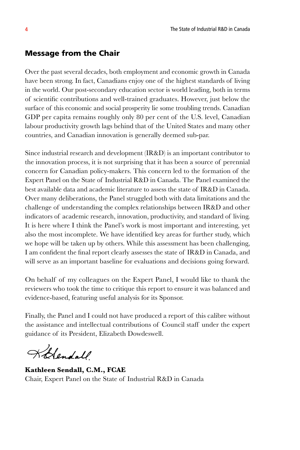# Message from the Chair

Over the past several decades, both employment and economic growth in Canada have been strong. In fact, Canadians enjoy one of the highest standards of living in the world. Our post-secondary education sector is world leading, both in terms of scientific contributions and well-trained graduates. However, just below the surface of this economic and social prosperity lie some troubling trends. Canadian GDP per capita remains roughly only 80 per cent of the U.S. level, Canadian labour productivity growth lags behind that of the United States and many other countries, and Canadian innovation is generally deemed sub-par.

Since industrial research and development (IR&D) is an important contributor to the innovation process, it is not surprising that it has been a source of perennial concern for Canadian policy-makers. This concern led to the formation of the Expert Panel on the State of Industrial R&D in Canada. The Panel examined the best available data and academic literature to assess the state of IR&D in Canada. Over many deliberations, the Panel struggled both with data limitations and the challenge of understanding the complex relationships between IR&D and other indicators of academic research, innovation, productivity, and standard of living. It is here where I think the Panel's work is most important and interesting, yet also the most incomplete. We have identified key areas for further study, which we hope will be taken up by others. While this assessment has been challenging, I am confident the final report clearly assesses the state of IR&D in Canada, and will serve as an important baseline for evaluations and decisions going forward.

On behalf of my colleagues on the Expert Panel, I would like to thank the reviewers who took the time to critique this report to ensure it was balanced and evidence-based, featuring useful analysis for its Sponsor.

Finally, the Panel and I could not have produced a report of this calibre without the assistance and intellectual contributions of Council staff under the expert guidance of its President, Elizabeth Dowdeswell.

Kolendall

**Kathleen Sendall, C.M., FCAE** Chair, Expert Panel on the State of Industrial R&D in Canada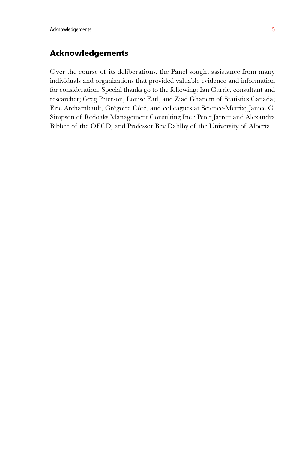# Acknowledgements

Over the course of its deliberations, the Panel sought assistance from many individuals and organizations that provided valuable evidence and information for consideration. Special thanks go to the following: Ian Currie, consultant and researcher; Greg Peterson, Louise Earl, and Ziad Ghanem of Statistics Canada; Eric Archambault, Grégoire Côté, and colleagues at Science-Metrix; Janice C. Simpson of Redoaks Management Consulting Inc.; Peter Jarrett and Alexandra Bibbee of the OECD; and Professor Bev Dahlby of the University of Alberta.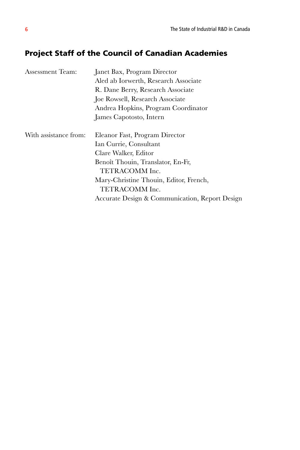# Project Staff of the Council of Canadian Academies

| Assessment Team:      | Janet Bax, Program Director                    |
|-----------------------|------------------------------------------------|
|                       | Aled ab Iorwerth, Research Associate           |
|                       | R. Dane Berry, Research Associate              |
|                       | Joe Rowsell, Research Associate                |
|                       | Andrea Hopkins, Program Coordinator            |
|                       | James Capotosto, Intern                        |
| With assistance from: | Eleanor Fast, Program Director                 |
|                       | Ian Currie, Consultant                         |
|                       | Clare Walker, Editor                           |
|                       | Benoît Thouin, Translator, En-Fr,              |
|                       | TETRACOMM Inc.                                 |
|                       | Mary-Christine Thouin, Editor, French,         |
|                       | TETRACOMM Inc.                                 |
|                       | Accurate Design & Communication, Report Design |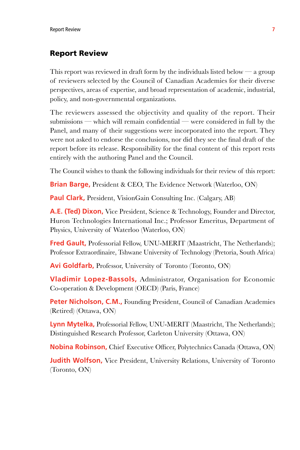#### Report Review

This report was reviewed in draft form by the individuals listed below — a group of reviewers selected by the Council of Canadian Academies for their diverse perspectives, areas of expertise, and broad representation of academic, industrial, policy, and non-governmental organizations.

The reviewers assessed the objectivity and quality of the report. Their submissions — which will remain confidential — were considered in full by the Panel, and many of their suggestions were incorporated into the report. They were not asked to endorse the conclusions, nor did they see the final draft of the report before its release. Responsibility for the final content of this report rests entirely with the authoring Panel and the Council.

The Council wishes to thank the following individuals for their review of this report:

**Brian Barge,** President & CEO, The Evidence Network (Waterloo, ON)

**Paul Clark,** President, VisionGain Consulting Inc. (Calgary, AB)

**A.E. (Ted) Dixon,** Vice President, Science & Technology, Founder and Director, Huron Technologies International Inc.; Professor Emeritus, Department of Physics, University of Waterloo (Waterloo, ON)

**Fred Gault, Professorial Fellow, UNU-MERIT (Maastricht, The Netherlands);** Professor Extraordinaire, Tshwane University of Technology (Pretoria, South Africa)

**Avi Goldfarb,** Professor, University of Toronto (Toronto, ON)

**Vladimir Lopez-Bassols,** Administrator, Organisation for Economic Co-operation & Development (OECD) (Paris, France)

**Peter Nicholson, C.M., Founding President, Council of Canadian Academies** (Retired) (Ottawa, ON)

**Lynn Mytelka,** Professorial Fellow, UNU-MERIT (Maastricht, The Netherlands); Distinguished Research Professor, Carleton University (Ottawa, ON)

**Nobina Robinson,** Chief Executive Officer, Polytechnics Canada (Ottawa, ON)

**Judith Wolfson,** Vice President, University Relations, University of Toronto (Toronto, ON)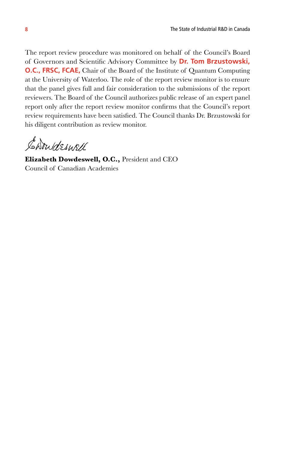The report review procedure was monitored on behalf of the Council's Board of Governors and Scientific Advisory Committee by **Dr. Tom Brzustowski, O.C., FRSC, FCAE,** Chair of the Board of the Institute of Quantum Computing at the University of Waterloo. The role of the report review monitor is to ensure that the panel gives full and fair consideration to the submissions of the report reviewers. The Board of the Council authorizes public release of an expert panel report only after the report review monitor confirms that the Council's report review requirements have been satisfied. The Council thanks Dr. Brzustowski for his diligent contribution as review monitor.

Chowdeswell

**Elizabeth Dowdeswell, O.C.,** President and CEO Council of Canadian Academies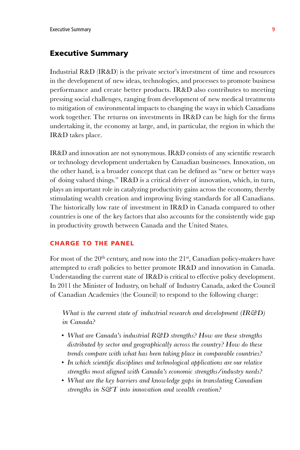## Executive Summary

Industrial R&D (IR&D) is the private sector's investment of time and resources in the development of new ideas, technologies, and processes to promote business performance and create better products. IR&D also contributes to meeting pressing social challenges, ranging from development of new medical treatments to mitigation of environmental impacts to changing the ways in which Canadians work together. The returns on investments in IR&D can be high for the firms undertaking it, the economy at large, and, in particular, the region in which the IR&D takes place.

IR&D and innovation are not synonymous. IR&D consists of any scientific research or technology development undertaken by Canadian businesses. Innovation, on the other hand, is a broader concept that can be defined as "new or better ways of doing valued things." IR&D is a critical driver of innovation, which, in turn, plays an important role in catalyzing productivity gains across the economy, thereby stimulating wealth creation and improving living standards for all Canadians. The historically low rate of investment in IR&D in Canada compared to other countries is one of the key factors that also accounts for the consistently wide gap in productivity growth between Canada and the United States.

#### Charge to the Panel

For most of the  $20<sup>th</sup>$  century, and now into the  $21<sup>st</sup>$ , Canadian policy-makers have attempted to craft policies to better promote IR&D and innovation in Canada. Understanding the current state of IR&D is critical to effective policy development. In 2011 the Minister of Industry, on behalf of Industry Canada, asked the Council of Canadian Academies (the Council) to respond to the following charge:

*What is the current state of industrial research and development (IR&D) in Canada?*

- *What are Canada's industrial R&D strengths? How are these strengths distributed by sector and geographically across the country? How do these trends compare with what has been taking place in comparable countries?*
- *In which scientific disciplines and technological applications are our relative strengths most aligned with Canada's economic strengths/industry needs?*
- *What are the key barriers and knowledge gaps in translating Canadian strengths in S&T into innovation and wealth creation?*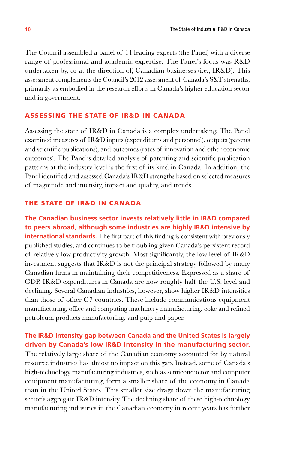The Council assembled a panel of 14 leading experts (the Panel) with a diverse range of professional and academic expertise. The Panel's focus was R&D undertaken by, or at the direction of, Canadian businesses (i.e., IR&D). This assessment complements the Council's 2012 assessment of Canada's S&T strengths, primarily as embodied in the research efforts in Canada's higher education sector and in government.

## Assessing the State of IR&D in Canada

Assessing the state of IR&D in Canada is a complex undertaking. The Panel examined measures of IR&D inputs (expenditures and personnel), outputs (patents and scientific publications), and outcomes (rates of innovation and other economic outcomes). The Panel's detailed analysis of patenting and scientific publication patterns at the industry level is the first of its kind in Canada. In addition, the Panel identified and assessed Canada's IR&D strengths based on selected measures of magnitude and intensity, impact and quality, and trends.

#### The State of IR&D in Canada

**The Canadian business sector invests relatively little in IR&D compared to peers abroad, although some industries are highly IR&D intensive by international standards.** The first part of this finding is consistent with previously published studies, and continues to be troubling given Canada's persistent record of relatively low productivity growth. Most significantly, the low level of IR&D investment suggests that IR&D is not the principal strategy followed by many Canadian firms in maintaining their competitiveness. Expressed as a share of GDP, IR&D expenditures in Canada are now roughly half the U.S. level and declining. Several Canadian industries, however, show higher IR&D intensities than those of other G7 countries. These include communications equipment manufacturing, office and computing machinery manufacturing, coke and refined petroleum products manufacturing, and pulp and paper.

# **The IR&D intensity gap between Canada and the United States is largely driven by Canada's low IR&D intensity in the manufacturing sector.**

The relatively large share of the Canadian economy accounted for by natural resource industries has almost no impact on this gap. Instead, some of Canada's high-technology manufacturing industries, such as semiconductor and computer equipment manufacturing, form a smaller share of the economy in Canada than in the United States. This smaller size drags down the manufacturing sector's aggregate IR&D intensity. The declining share of these high-technology manufacturing industries in the Canadian economy in recent years has further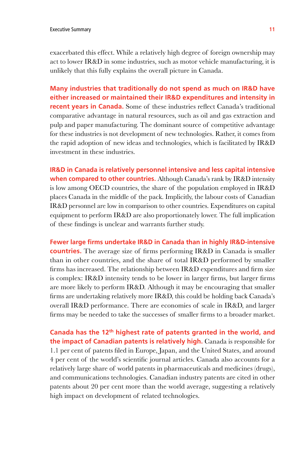exacerbated this effect. While a relatively high degree of foreign ownership may act to lower IR&D in some industries, such as motor vehicle manufacturing, it is unlikely that this fully explains the overall picture in Canada.

**Many industries that traditionally do not spend as much on IR&D have either increased or maintained their IR&D expenditures and intensity in recent years in Canada.** Some of these industries reflect Canada's traditional comparative advantage in natural resources, such as oil and gas extraction and pulp and paper manufacturing. The dominant source of competitive advantage for these industries is not development of new technologies. Rather, it comes from the rapid adoption of new ideas and technologies, which is facilitated by IR&D investment in these industries.

**IR&D in Canada is relatively personnel intensive and less capital intensive when compared to other countries.** Although Canada's rank by IR&D intensity is low among OECD countries, the share of the population employed in IR&D places Canada in the middle of the pack. Implicitly, the labour costs of Canadian IR&D personnel are low in comparison to other countries. Expenditures on capital equipment to perform IR&D are also proportionately lower. The full implication of these findings is unclear and warrants further study.

**Fewer large firms undertake IR&D in Canada than in highly IR&D-intensive countries.** The average size of firms performing IR&D in Canada is smaller than in other countries, and the share of total IR&D performed by smaller firms has increased. The relationship between IR&D expenditures and firm size is complex: IR&D intensity tends to be lower in larger firms, but larger firms are more likely to perform IR&D. Although it may be encouraging that smaller firms are undertaking relatively more IR&D, this could be holding back Canada's overall IR&D performance. There are economies of scale in IR&D, and larger firms may be needed to take the successes of smaller firms to a broader market.

**Canada has the 12th highest rate of patents granted in the world, and the impact of Canadian patents is relatively high.** Canada is responsible for 1.1 per cent of patents filed in Europe, Japan, and the United States, and around 4 per cent of the world's scientific journal articles. Canada also accounts for a relatively large share of world patents in pharmaceuticals and medicines (drugs), and communications technologies. Canadian industry patents are cited in other patents about 20 per cent more than the world average, suggesting a relatively high impact on development of related technologies.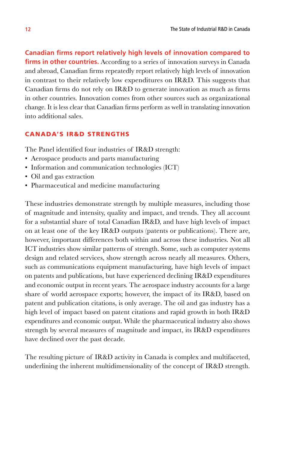**Canadian firms report relatively high levels of innovation compared to firms in other countries.** According to a series of innovation surveys in Canada and abroad, Canadian firms repeatedly report relatively high levels of innovation in contrast to their relatively low expenditures on IR&D. This suggests that Canadian firms do not rely on IR&D to generate innovation as much as firms in other countries. Innovation comes from other sources such as organizational change. It is less clear that Canadian firms perform as well in translating innovation into additional sales.

#### Canada's IR&D Strengths

The Panel identified four industries of IR&D strength:

- Aerospace products and parts manufacturing
- Information and communication technologies (ICT)
- Oil and gas extraction
- Pharmaceutical and medicine manufacturing

These industries demonstrate strength by multiple measures, including those of magnitude and intensity, quality and impact, and trends. They all account for a substantial share of total Canadian IR&D, and have high levels of impact on at least one of the key IR&D outputs (patents or publications). There are, however, important differences both within and across these industries. Not all ICT industries show similar patterns of strength. Some, such as computer systems design and related services, show strength across nearly all measures. Others, such as communications equipment manufacturing, have high levels of impact on patents and publications, but have experienced declining IR&D expenditures and economic output in recent years. The aerospace industry accounts for a large share of world aerospace exports; however, the impact of its IR&D, based on patent and publication citations, is only average. The oil and gas industry has a high level of impact based on patent citations and rapid growth in both IR&D expenditures and economic output. While the pharmaceutical industry also shows strength by several measures of magnitude and impact, its IR&D expenditures have declined over the past decade.

The resulting picture of IR&D activity in Canada is complex and multifaceted, underlining the inherent multidimensionality of the concept of IR&D strength.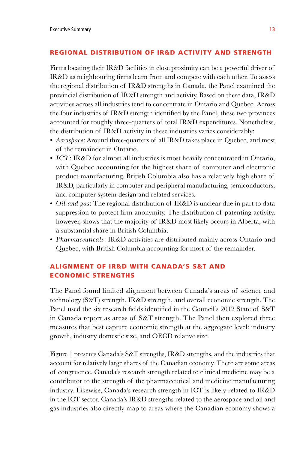#### Regional Distribution of IR&D Activity and Strength

Firms locating their IR&D facilities in close proximity can be a powerful driver of IR&D as neighbouring firms learn from and compete with each other. To assess the regional distribution of IR&D strengths in Canada, the Panel examined the provincial distribution of IR&D strength and activity. Based on these data, IR&D activities across all industries tend to concentrate in Ontario and Quebec. Across the four industries of IR&D strength identified by the Panel, these two provinces accounted for roughly three-quarters of total IR&D expenditures. Nonetheless, the distribution of IR&D activity in these industries varies considerably:

- *Aerospace*: Around three-quarters of all IR&D takes place in Quebec, and most of the remainder in Ontario.
- *ICT*: IR&D for almost all industries is most heavily concentrated in Ontario, with Quebec accounting for the highest share of computer and electronic product manufacturing. British Columbia also has a relatively high share of IR&D, particularly in computer and peripheral manufacturing, semiconductors, and computer system design and related services.
- *Oil and gas*: The regional distribution of IR&D is unclear due in part to data suppression to protect firm anonymity. The distribution of patenting activity, however, shows that the majority of IR&D most likely occurs in Alberta, with a substantial share in British Columbia.
- *Pharmaceuticals*: IR&D activities are distributed mainly across Ontario and Quebec, with British Columbia accounting for most of the remainder.

# Alignment of IR&D with Canada's S&T and Economic Strengths

The Panel found limited alignment between Canada's areas of science and technology (S&T) strength, IR&D strength, and overall economic strength. The Panel used the six research fields identified in the Council's 2012 State of S&T in Canada report as areas of S&T strength. The Panel then explored three measures that best capture economic strength at the aggregate level: industry growth, industry domestic size, and OECD relative size.

Figure 1 presents Canada's S&T strengths, IR&D strengths, and the industries that account for relatively large shares of the Canadian economy. There are some areas of congruence. Canada's research strength related to clinical medicine may be a contributor to the strength of the pharmaceutical and medicine manufacturing industry. Likewise, Canada's research strength in ICT is likely related to IR&D in the ICT sector. Canada's IR&D strengths related to the aerospace and oil and gas industries also directly map to areas where the Canadian economy shows a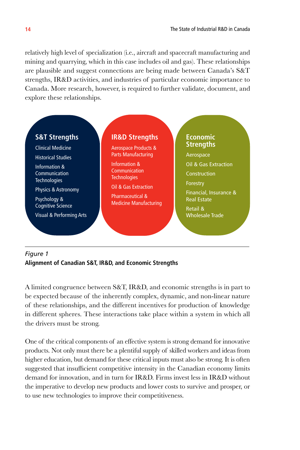relatively high level of specialization (i.e., aircraft and spacecraft manufacturing and mining and quarrying, which in this case includes oil and gas). These relationships are plausible and suggest connections are being made between Canada's S&T strengths, IR&D activities, and industries of particular economic importance to Canada. More research, however, is required to further validate, document, and explore these relationships.



# *Figure 1* **Alignment of Canadian S&T, IR&D, and Economic Strengths**

A limited congruence between S&T, IR&D, and economic strengths is in part to be expected because of the inherently complex, dynamic, and non-linear nature of these relationships, and the different incentives for production of knowledge in different spheres. These interactions take place within a system in which all the drivers must be strong.

One of the critical components of an effective system is strong demand for innovative products. Not only must there be a plentiful supply of skilled workers and ideas from higher education, but demand for these critical inputs must also be strong. It is often suggested that insufficient competitive intensity in the Canadian economy limits demand for innovation, and in turn for IR&D. Firms invest less in IR&D without the imperative to develop new products and lower costs to survive and prosper, or to use new technologies to improve their competitiveness.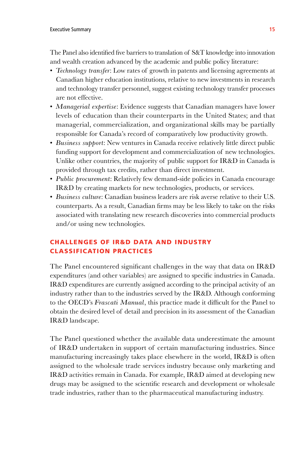The Panel also identified five barriers to translation of S&T knowledge into innovation and wealth creation advanced by the academic and public policy literature:

- *Technology transfer*: Low rates of growth in patents and licensing agreements at Canadian higher education institutions, relative to new investments in research and technology transfer personnel, suggest existing technology transfer processes are not effective.
- *Managerial expertise*: Evidence suggests that Canadian managers have lower levels of education than their counterparts in the United States; and that managerial, commercialization, and organizational skills may be partially responsible for Canada's record of comparatively low productivity growth.
- *Business support*: New ventures in Canada receive relatively little direct public funding support for development and commercialization of new technologies. Unlike other countries, the majority of public support for IR&D in Canada is provided through tax credits, rather than direct investment.
- *Public procurement*: Relatively few demand-side policies in Canada encourage IR&D by creating markets for new technologies, products, or services.
- *Business culture*: Canadian business leaders are risk averse relative to their U.S. counterparts. As a result, Canadian firms may be less likely to take on the risks associated with translating new research discoveries into commercial products and/or using new technologies.

# Challenges of IR&D Data and Industry Classification Practices

The Panel encountered significant challenges in the way that data on IR&D expenditures (and other variables) are assigned to specific industries in Canada. IR&D expenditures are currently assigned according to the principal activity of an industry rather than to the industries served by the IR&D. Although conforming to the OECD's *Frascati Manual*, this practice made it difficult for the Panel to obtain the desired level of detail and precision in its assessment of the Canadian IR&D landscape.

The Panel questioned whether the available data underestimate the amount of IR&D undertaken in support of certain manufacturing industries. Since manufacturing increasingly takes place elsewhere in the world, IR&D is often assigned to the wholesale trade services industry because only marketing and IR&D activities remain in Canada. For example, IR&D aimed at developing new drugs may be assigned to the scientific research and development or wholesale trade industries, rather than to the pharmaceutical manufacturing industry.